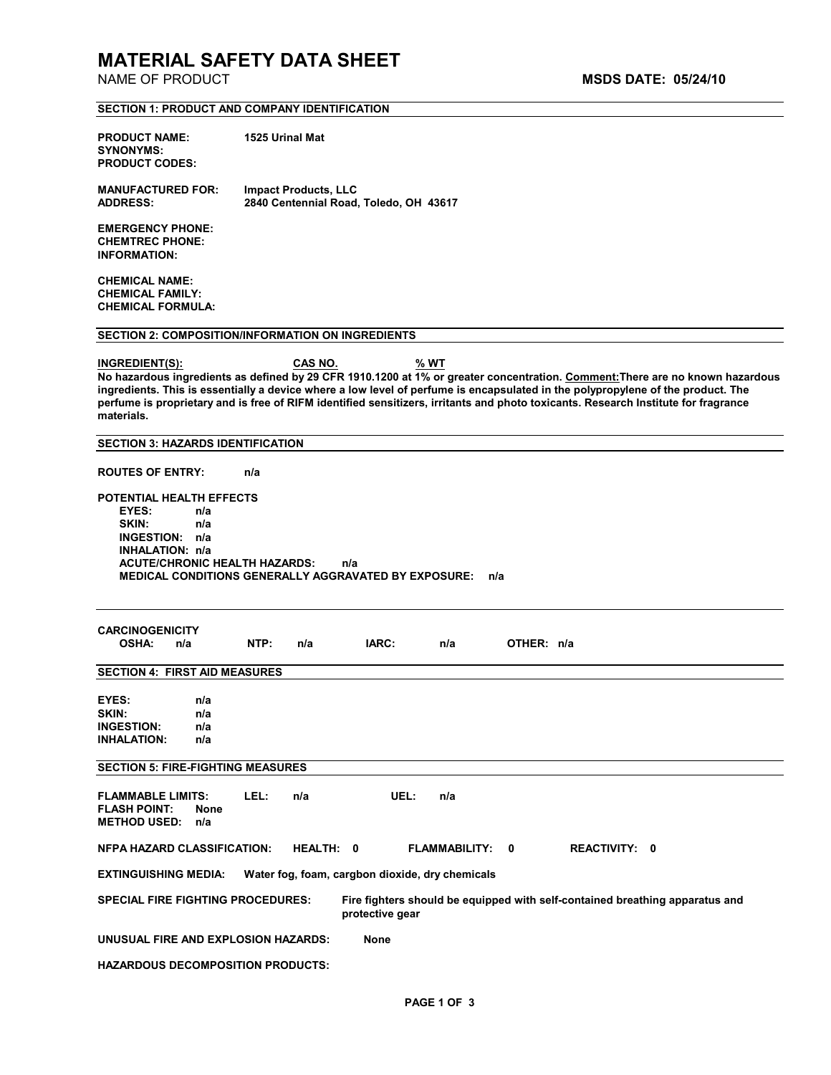# **MATERIAL SAFETY DATA SHEET**

|                                                                                                                                             | <b>SECTION 1: PRODUCT AND COMPANY IDENTIFICATION</b>                  |                      |                                                                                                                                                                                                                                                                                                                                                                                                        |
|---------------------------------------------------------------------------------------------------------------------------------------------|-----------------------------------------------------------------------|----------------------|--------------------------------------------------------------------------------------------------------------------------------------------------------------------------------------------------------------------------------------------------------------------------------------------------------------------------------------------------------------------------------------------------------|
| <b>PRODUCT NAME:</b><br><b>SYNONYMS:</b><br><b>PRODUCT CODES:</b>                                                                           | 1525 Urinal Mat                                                       |                      |                                                                                                                                                                                                                                                                                                                                                                                                        |
| <b>MANUFACTURED FOR:</b><br><b>ADDRESS:</b>                                                                                                 | <b>Impact Products, LLC</b><br>2840 Centennial Road, Toledo, OH 43617 |                      |                                                                                                                                                                                                                                                                                                                                                                                                        |
| <b>EMERGENCY PHONE:</b><br><b>CHEMTREC PHONE:</b><br><b>INFORMATION:</b>                                                                    |                                                                       |                      |                                                                                                                                                                                                                                                                                                                                                                                                        |
| <b>CHEMICAL NAME:</b><br><b>CHEMICAL FAMILY:</b><br><b>CHEMICAL FORMULA:</b>                                                                |                                                                       |                      |                                                                                                                                                                                                                                                                                                                                                                                                        |
|                                                                                                                                             | <b>SECTION 2: COMPOSITION/INFORMATION ON INGREDIENTS</b>              |                      |                                                                                                                                                                                                                                                                                                                                                                                                        |
| INGREDIENT(S):<br>materials.                                                                                                                | <b>CAS NO.</b>                                                        | $%$ WT               | No hazardous ingredients as defined by 29 CFR 1910.1200 at 1% or greater concentration. Comment: There are no known hazardous<br>ingredients. This is essentially a device where a low level of perfume is encapsulated in the polypropylene of the product. The<br>perfume is proprietary and is free of RIFM identified sensitizers, irritants and photo toxicants. Research Institute for fragrance |
| <b>SECTION 3: HAZARDS IDENTIFICATION</b>                                                                                                    |                                                                       |                      |                                                                                                                                                                                                                                                                                                                                                                                                        |
| <b>ROUTES OF ENTRY:</b>                                                                                                                     | n/a                                                                   |                      |                                                                                                                                                                                                                                                                                                                                                                                                        |
| SKIN:<br>n/a<br>INGESTION: n/a<br>INHALATION: n/a<br><b>ACUTE/CHRONIC HEALTH HAZARDS:</b>                                                   | n/a<br><b>MEDICAL CONDITIONS GENERALLY AGGRAVATED BY EXPOSURE:</b>    | n/a                  |                                                                                                                                                                                                                                                                                                                                                                                                        |
| <b>CARCINOGENICITY</b><br><b>OSHA:</b><br>n/a                                                                                               | NTP:<br>IARC:<br>n/a                                                  | n/a                  | OTHER: n/a                                                                                                                                                                                                                                                                                                                                                                                             |
| <b>SECTION 4: FIRST AID MEASURES</b>                                                                                                        |                                                                       |                      |                                                                                                                                                                                                                                                                                                                                                                                                        |
| EYES:<br>n/a<br>SKIN:<br>n/a<br><b>INGESTION:</b><br>n/a<br><b>INHALATION:</b><br>n/a                                                       |                                                                       |                      |                                                                                                                                                                                                                                                                                                                                                                                                        |
| <b>SECTION 5: FIRE-FIGHTING MEASURES</b>                                                                                                    |                                                                       |                      |                                                                                                                                                                                                                                                                                                                                                                                                        |
| <b>FLAMMABLE LIMITS:</b><br><b>FLASH POINT:</b><br><b>None</b><br><b>METHOD USED:</b><br>n/a                                                | LEL:<br>n/a                                                           | UEL:<br>n/a          |                                                                                                                                                                                                                                                                                                                                                                                                        |
| <b>NFPA HAZARD CLASSIFICATION:</b>                                                                                                          | HEALTH: 0                                                             | <b>FLAMMABILITY:</b> | <b>REACTIVITY: 0</b><br>$\mathbf{0}$                                                                                                                                                                                                                                                                                                                                                                   |
| <b>EXTINGUISHING MEDIA:</b><br>Water fog, foam, cargbon dioxide, dry chemicals                                                              |                                                                       |                      |                                                                                                                                                                                                                                                                                                                                                                                                        |
| <b>SPECIAL FIRE FIGHTING PROCEDURES:</b><br>Fire fighters should be equipped with self-contained breathing apparatus and<br>protective gear |                                                                       |                      |                                                                                                                                                                                                                                                                                                                                                                                                        |
| UNUSUAL FIRE AND EXPLOSION HAZARDS:                                                                                                         | None                                                                  |                      |                                                                                                                                                                                                                                                                                                                                                                                                        |
| <b>HAZARDOUS DECOMPOSITION PRODUCTS:</b>                                                                                                    |                                                                       |                      |                                                                                                                                                                                                                                                                                                                                                                                                        |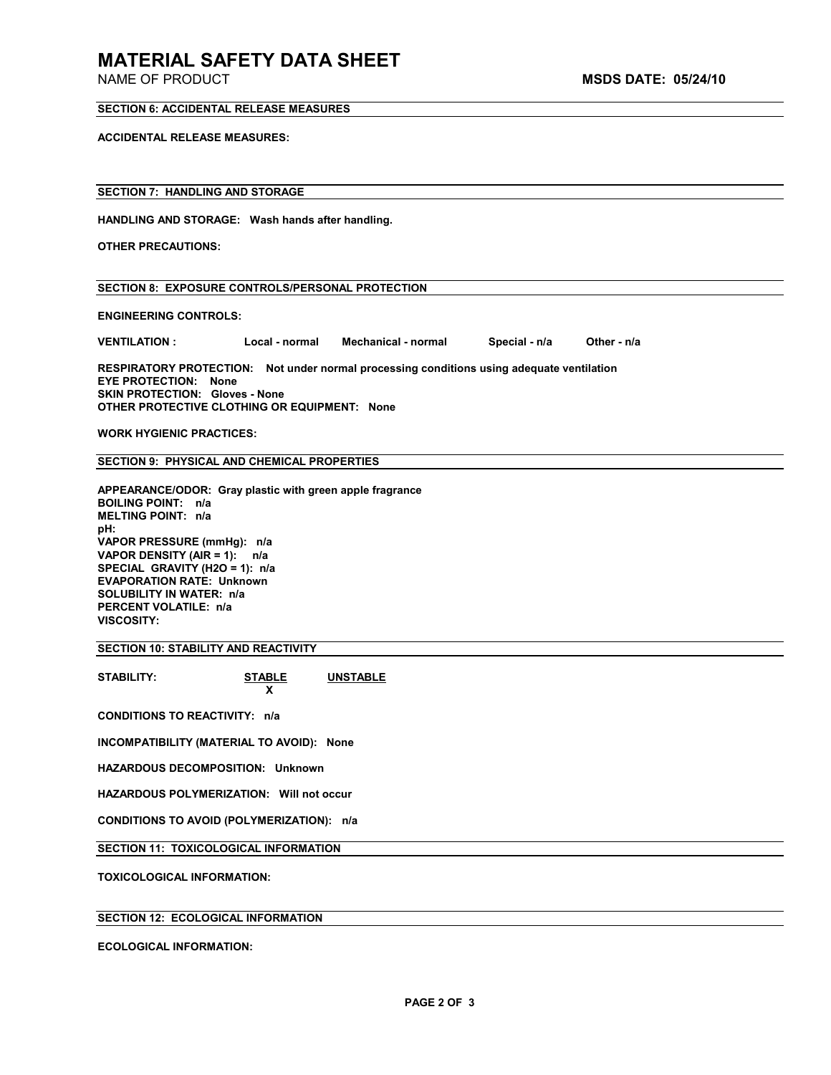# **MATERIAL SAFETY DATA SHEET**

## **SECTION 6: ACCIDENTAL RELEASE MEASURES**

**ACCIDENTAL RELEASE MEASURES:** 

### **SECTION 7: HANDLING AND STORAGE**

**HANDLING AND STORAGE: Wash hands after handling.** 

**OTHER PRECAUTIONS:** 

# **SECTION 8: EXPOSURE CONTROLS/PERSONAL PROTECTION**

**ENGINEERING CONTROLS:** 

**VENTILATION : Local - normal Mechanical - normal Special - n/a Other - n/a** 

**RESPIRATORY PROTECTION: Not under normal processing conditions using adequate ventilation EYE PROTECTION: None SKIN PROTECTION: Gloves - None OTHER PROTECTIVE CLOTHING OR EQUIPMENT: None** 

**WORK HYGIENIC PRACTICES:** 

**SECTION 9: PHYSICAL AND CHEMICAL PROPERTIES** 

**APPEARANCE/ODOR: Gray plastic with green apple fragrance BOILING POINT: n/a MELTING POINT: n/a pH: VAPOR PRESSURE (mmHg): n/a VAPOR DENSITY (AIR = 1): n/a SPECIAL GRAVITY (H2O = 1): n/a EVAPORATION RATE: Unknown SOLUBILITY IN WATER: n/a PERCENT VOLATILE: n/a VISCOSITY:** 

**SECTION 10: STABILITY AND REACTIVITY** 

**STABILITY: STABLE UNSTABLE**

**x**  $\mathbf{x}$ **CONDITIONS TO REACTIVITY: n/a** 

**INCOMPATIBILITY (MATERIAL TO AVOID): None** 

**HAZARDOUS DECOMPOSITION: Unknown** 

**HAZARDOUS POLYMERIZATION: Will not occur** 

**CONDITIONS TO AVOID (POLYMERIZATION): n/a** 

**SECTION 11: TOXICOLOGICAL INFORMATION** 

**TOXICOLOGICAL INFORMATION:** 

# **SECTION 12: ECOLOGICAL INFORMATION**

**ECOLOGICAL INFORMATION:**